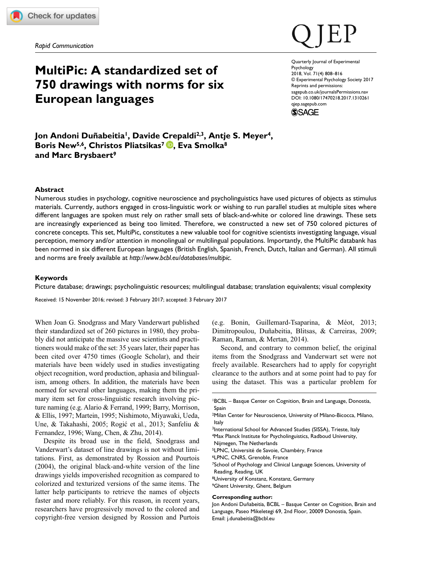*Rapid Communication*

# **MultiPic: A standardized set of 750 drawings with norms for six European languages**

DOI: 10.1080/17470218.2017.1310261 Quarterly Journal of Experimental **Psychology** 2018, Vol. 71(4) 808–816 © Experimental Psychology Society 2017 Reprints and permissions: [sagepub.co.uk/journalsPermissions.nav](https://uk.sagepub.com/en-gb/journals-permissions) [qjep.sagepub.com](https://qjep.sagepub.com)



**Jon Andoni Duñabeitia1, Davide Crepaldi2,3, Antje S. Meyer4,** Boris New<sup>5,6</sup>, Christos Pliatsikas<sup>7</sup> **D**, Eva Smolka<sup>8</sup> **and Marc Brysbaert9**

### **Abstract**

Numerous studies in psychology, cognitive neuroscience and psycholinguistics have used pictures of objects as stimulus materials. Currently, authors engaged in cross-linguistic work or wishing to run parallel studies at multiple sites where different languages are spoken must rely on rather small sets of black-and-white or colored line drawings. These sets are increasingly experienced as being too limited. Therefore, we constructed a new set of 750 colored pictures of concrete concepts. This set, MultiPic, constitutes a new valuable tool for cognitive scientists investigating language, visual perception, memory and/or attention in monolingual or multilingual populations. Importantly, the MultiPic databank has been normed in six different European languages (British English, Spanish, French, Dutch, Italian and German). All stimuli and norms are freely available at *<http://www.bcbl.eu/databases/multipic>*.

## **Keywords**

Picture database; drawings; psycholinguistic resources; multilingual database; translation equivalents; visual complexity

Received: 15 November 2016; revised: 3 February 2017; accepted: 3 February 2017

When Joan G. Snodgrass and Mary Vanderwart published their standardized set of 260 pictures in 1980, they probably did not anticipate the massive use scientists and practitioners would make of the set: 35 years later, their paper has been cited over 4750 times (Google Scholar), and their materials have been widely used in studies investigating object recognition, word production, aphasia and bilingualism, among others. In addition, the materials have been normed for several other languages, making them the primary item set for cross-linguistic research involving picture naming (e.g. Alario & Ferrand, 1999; Barry, Morrison, & Ellis, 1997; Martein, 1995; Nishimoto, Miyawaki, Ueda, Une, & Takahashi, 2005; Rogić et al., 2013; Sanfeliu & Fernandez, 1996; Wang, Chen, & Zhu, 2014).

Despite its broad use in the field, Snodgrass and Vanderwart's dataset of line drawings is not without limitations. First, as demonstrated by Rossion and Pourtois (2004), the original black-and-white version of the line drawings yields impoverished recognition as compared to colorized and texturized versions of the same items. The latter help participants to retrieve the names of objects faster and more reliably. For this reason, in recent years, researchers have progressively moved to the colored and copyright-free version designed by Rossion and Purtois

(e.g. Bonin, Guillemard-Tsaparina, & Méot, 2013; Dimitropoulou, Duñabeitia, Blitsas, & Carreiras, 2009; Raman, Raman, & Mertan, 2014).

Second, and contrary to common belief, the original items from the Snodgrass and Vanderwart set were not freely available. Researchers had to apply for copyright clearance to the authors and at some point had to pay for using the dataset. This was a particular problem for

- <sup>3</sup>International School for Advanced Studies (SISSA), Trieste, Italy 4Max Planck Institute for Psycholinguistics, Radboud University,
- Nijmegen, The Netherlands
- 5LPNC, Université de Savoie, Chambéry, France
- 6LPNC, CNRS, Grenoble, France
- 7School of Psychology and Clinical Language Sciences, University of Reading, Reading, UK
- 8University of Konstanz, Konstanz, Germany
- 9Ghent University, Ghent, Belgium

#### **Corresponding author:**

Jon Andoni Duñabeitia, BCBL – Basque Center on Cognition, Brain and Language, Paseo Mikeletegi 69, 2nd Floor, 20009 Donostia, Spain. Email: [j.dunabeitia@bcbl.eu](mailto:j.dunabeitia@bcbl.eu)

<sup>1</sup>BCBL – Basque Center on Cognition, Brain and Language, Donostia, Spain

<sup>2</sup>Milan Center for Neuroscience, University of Milano-Bicocca, Milano, Italy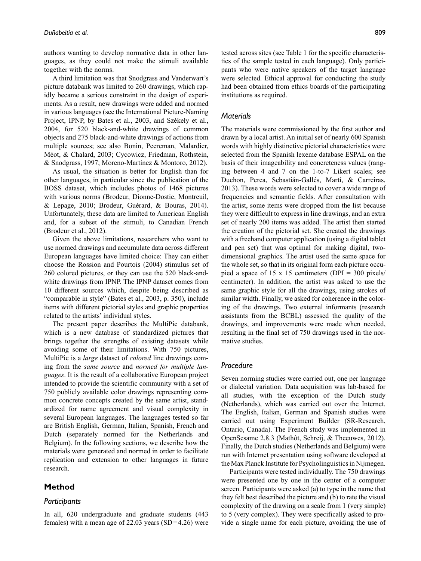authors wanting to develop normative data in other languages, as they could not make the stimuli available together with the norms.

A third limitation was that Snodgrass and Vanderwart's picture databank was limited to 260 drawings, which rapidly became a serious constraint in the design of experiments. As a result, new drawings were added and normed in various languages (see the International Picture-Naming Project, IPNP, by Bates et al., 2003, and Székely et al., 2004, for 520 black-and-white drawings of common objects and 275 black-and-white drawings of actions from multiple sources; see also Bonin, Peereman, Malardier, Méot, & Chalard, 2003; Cycowicz, Friedman, Rothstein, & Snodgrass, 1997; Moreno-Martínez & Montoro, 2012).

As usual, the situation is better for English than for other languages, in particular since the publication of the BOSS dataset, which includes photos of 1468 pictures with various norms (Brodeur, Dionne-Dostie, Montreuil, & Lepage, 2010; Brodeur, Guérard, & Bouras, 2014). Unfortunately, these data are limited to American English and, for a subset of the stimuli, to Canadian French (Brodeur et al., 2012).

Given the above limitations, researchers who want to use normed drawings and accumulate data across different European languages have limited choice: They can either choose the Rossion and Pourtois (2004) stimulus set of 260 colored pictures, or they can use the 520 black-andwhite drawings from IPNP. The IPNP dataset comes from 10 different sources which, despite being described as "comparable in style" (Bates et al., 2003, p. 350), include items with different pictorial styles and graphic properties related to the artists' individual styles.

The present paper describes the MultiPic databank, which is a new database of standardized pictures that brings together the strengths of existing datasets while avoiding some of their limitations. With 750 pictures, MultiPic is a *large* dataset of *colored* line drawings coming from the *same source* and *normed for multiple languages*. It is the result of a collaborative European project intended to provide the scientific community with a set of 750 publicly available color drawings representing common concrete concepts created by the same artist, standardized for name agreement and visual complexity in several European languages. The languages tested so far are British English, German, Italian, Spanish, French and Dutch (separately normed for the Netherlands and Belgium). In the following sections, we describe how the materials were generated and normed in order to facilitate replication and extension to other languages in future research.

# **Method**

#### *Participants*

In all, 620 undergraduate and graduate students (443 females) with a mean age of 22.03 years  $(SD=4.26)$  were tested across sites (see Table 1 for the specific characteristics of the sample tested in each language). Only participants who were native speakers of the target language were selected. Ethical approval for conducting the study had been obtained from ethics boards of the participating institutions as required.

# *Materials*

The materials were commissioned by the first author and drawn by a local artist. An initial set of nearly 600 Spanish words with highly distinctive pictorial characteristics were selected from the Spanish lexeme database ESPAL on the basis of their imageability and concreteness values (ranging between 4 and 7 on the 1-to-7 Likert scales; see Duchon, Perea, Sebastián-Gallés, Martí, & Carreiras, 2013). These words were selected to cover a wide range of frequencies and semantic fields. After consultation with the artist, some items were dropped from the list because they were difficult to express in line drawings, and an extra set of nearly 200 items was added. The artist then started the creation of the pictorial set. She created the drawings with a freehand computer application (using a digital tablet and pen set) that was optimal for making digital, twodimensional graphics. The artist used the same space for the whole set, so that in its original form each picture occupied a space of 15 x 15 centimeters (DPI = 300 pixels/ centimeter). In addition, the artist was asked to use the same graphic style for all the drawings, using strokes of similar width. Finally, we asked for coherence in the coloring of the drawings. Two external informants (research assistants from the BCBL) assessed the quality of the drawings, and improvements were made when needed, resulting in the final set of 750 drawings used in the normative studies.

# *Procedure*

Seven norming studies were carried out, one per language or dialectal variation. Data acquisition was lab-based for all studies, with the exception of the Dutch study (Netherlands), which was carried out over the Internet. The English, Italian, German and Spanish studies were carried out using Experiment Builder (SR-Research, Ontario, Canada). The French study was implemented in OpenSesame 2.8.3 (Mathôt, Schreij, & Theeuwes, 2012). Finally, the Dutch studies (Netherlands and Belgium) were run with Internet presentation using software developed at the Max Planck Institute for Psycholinguistics in Nijmegen.

Participants were tested individually. The 750 drawings were presented one by one in the center of a computer screen. Participants were asked (a) to type in the name that they felt best described the picture and (b) to rate the visual complexity of the drawing on a scale from 1 (very simple) to 5 (very complex). They were specifically asked to provide a single name for each picture, avoiding the use of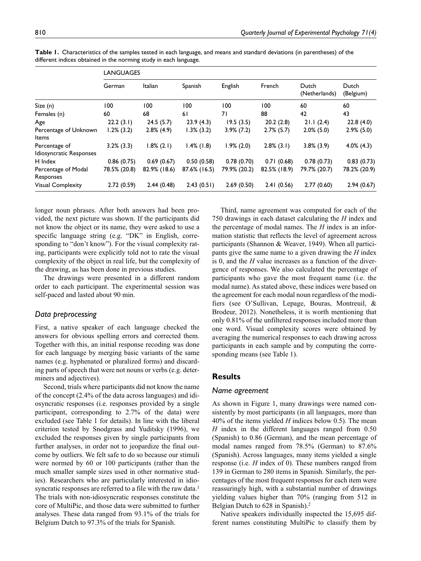|                                          | <b>LANGUAGES</b> |                |               |               |               |                        |                    |
|------------------------------------------|------------------|----------------|---------------|---------------|---------------|------------------------|--------------------|
|                                          | German           | <b>Italian</b> | Spanish       | English       | French        | Dutch<br>(Netherlands) | Dutch<br>(Belgium) |
| Size (n)                                 | 100              | 100            | 100           | 100           | 100           | 60                     | 60                 |
| Females (n)                              | 60               | 68             | 61            | 71            | 88            | 42                     | 43                 |
| Age                                      | 22.2(3.1)        | 24.5(5.7)      | 23.9(4.3)     | 19.5(3.5)     | 20.2(2.8)     | 21.1(2.4)              | 22.8(4.0)          |
| Percentage of Unknown<br>Items           | 1.2% (3.2)       | $2.8\%$ (4.9)  | $1.3\%$ (3.2) | $3.9\%$ (7.2) | $2.7\%$ (5.7) | $2.0\%$ (5.0)          | $2.9\%$ (5.0)      |
| Percentage of<br>Idiosyncratic Responses | $3.2\%$ (3.3)    | $1.8\%$ (2.1)  | $1.4\%$ (1.8) | $1.9\%$ (2.0) | $2.8\%$ (3.1) | $3.8\%$ (3.9)          | $4.0\%$ $(4.3)$    |
| H Index                                  | 0.86(0.75)       | 0.69(0.67)     | 0.50(0.58)    | 0.78(0.70)    | 0.71(0.68)    | 0.78(0.73)             | 0.83(0.73)         |
| Percentage of Modal<br>Responses         | 78.5% (20.8)     | 82.9% (18.6)   | 87.6% (16.5)  | 79.9% (20.2)  | 82.5% (18.9)  | 79.7% (20.7)           | 78.2% (20.9)       |
| Visual Complexity                        | 2.72(0.59)       | 2.44(0.48)     | 2.43(0.51)    | 2.69(0.50)    | 2.41(0.56)    | 2.77(0.60)             | 2.94(0.67)         |

**Table 1.** Characteristics of the samples tested in each language, and means and standard deviations (in parentheses) of the different indices obtained in the norming study in each language.

longer noun phrases. After both answers had been provided, the next picture was shown. If the participants did not know the object or its name, they were asked to use a specific language string (e.g. "DK" in English, corresponding to "don't know"). For the visual complexity rating, participants were explicitly told not to rate the visual complexity of the object in real life, but the complexity of the drawing, as has been done in previous studies.

The drawings were presented in a different random order to each participant. The experimental session was self-paced and lasted about 90 min.

# *Data preprocessing*

First, a native speaker of each language checked the answers for obvious spelling errors and corrected them. Together with this, an initial response recoding was done for each language by merging basic variants of the same names (e.g. hyphenated or pluralized forms) and discarding parts of speech that were not nouns or verbs (e.g. determiners and adjectives).

Second, trials where participants did not know the name of the concept (2.4% of the data across languages) and idiosyncratic responses (i.e. responses provided by a single participant, corresponding to 2.7% of the data) were excluded (see Table 1 for details). In line with the liberal criterion tested by Snodgrass and Yuditsky (1996), we excluded the responses given by single participants from further analyses, in order not to jeopardize the final outcome by outliers. We felt safe to do so because our stimuli were normed by 60 or 100 participants (rather than the much smaller sample sizes used in other normative studies). Researchers who are particularly interested in idiosyncratic responses are referred to a file with the raw data.<sup>1</sup> The trials with non-idiosyncratic responses constitute the core of MultiPic, and those data were submitted to further analyses. These data ranged from 93.1% of the trials for Belgium Dutch to 97.3% of the trials for Spanish.

Third, name agreement was computed for each of the 750 drawings in each dataset calculating the *H* index and the percentage of modal names. The *H* index is an information statistic that reflects the level of agreement across participants (Shannon & Weaver, 1949). When all participants give the same name to a given drawing the *H* index is 0, and the *H* value increases as a function of the divergence of responses. We also calculated the percentage of participants who gave the most frequent name (i.e. the modal name). As stated above, these indices were based on the agreement for each modal noun regardless of the modifiers (see O'Sullivan, Lepage, Bouras, Montreuil, & Brodeur, 2012). Nonetheless, it is worth mentioning that only 0.81% of the unfiltered responses included more than one word. Visual complexity scores were obtained by averaging the numerical responses to each drawing across participants in each sample and by computing the corresponding means (see Table 1).

# **Results**

#### *Name agreement*

As shown in Figure 1, many drawings were named consistently by most participants (in all languages, more than 40% of the items yielded *H* indices below 0.5). The mean *H* index in the different languages ranged from 0.50 (Spanish) to 0.86 (German), and the mean percentage of modal names ranged from 78.5% (German) to 87.6% (Spanish). Across languages, many items yielded a single response (i.e. *H* index of 0). These numbers ranged from 139 in German to 280 items in Spanish. Similarly, the percentages of the most frequent responses for each item were reassuringly high, with a substantial number of drawings yielding values higher than 70% (ranging from 512 in Belgian Dutch to 628 in Spanish).<sup>2</sup>

Native speakers individually inspected the 15,695 different names constituting MultiPic to classify them by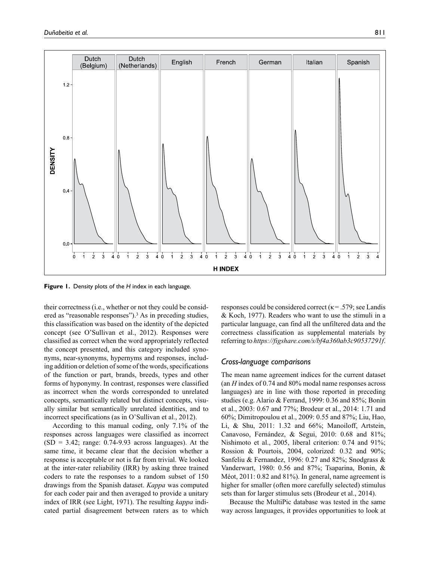

**Figure 1.** Density plots of the *H* index in each language.

their correctness (i.e., whether or not they could be considered as "reasonable responses").3 As in preceding studies, this classification was based on the identity of the depicted concept (see O'Sullivan et al., 2012). Responses were classified as correct when the word appropriately reflected the concept presented, and this category included synonyms, near-synonyms, hypernyms and responses, including addition or deletion of some of the words, specifications of the function or part, brands, breeds, types and other forms of hyponymy. In contrast, responses were classified as incorrect when the words corresponded to unrelated concepts, semantically related but distinct concepts, visually similar but semantically unrelated identities, and to incorrect specifications (as in O'Sullivan et al., 2012).

According to this manual coding, only 7.1% of the responses across languages were classified as incorrect  $(SD = 3.42; \text{ range: } 0.74 - 9.93 \text{ across languages}).$  At the same time, it became clear that the decision whether a response is acceptable or not is far from trivial. We looked at the inter-rater reliability (IRR) by asking three trained coders to rate the responses to a random subset of 150 drawings from the Spanish dataset. *Kappa* was computed for each coder pair and then averaged to provide a unitary index of IRR (see Light, 1971). The resulting *kappa* indicated partial disagreement between raters as to which

responses could be considered correct ( $\kappa$ = .579; see Landis & Koch, 1977). Readers who want to use the stimuli in a particular language, can find all the unfiltered data and the correctness classification as supplemental materials by referring to *<https://figshare.com/s/bf4a360ab3c90537291f>*.

### *Cross-language comparisons*

The mean name agreement indices for the current dataset (an *H* index of 0.74 and 80% modal name responses across languages) are in line with those reported in preceding studies (e.g. Alario & Ferrand, 1999: 0.36 and 85%; Bonin et al., 2003: 0.67 and 77%; Brodeur et al., 2014: 1.71 and 60%; Dimitropoulou et al., 2009: 0.55 and 87%; Liu, Hao, Li, & Shu, 2011: 1.32 and 66%; Manoiloff, Artstein, Canavoso, Fernández, & Segui, 2010: 0.68 and 81%; Nishimoto et al., 2005, liberal criterion: 0.74 and 91%; Rossion & Pourtois, 2004, colorized: 0.32 and 90%; Sanfeliu & Fernandez, 1996: 0.27 and 82%; Snodgrass & Vanderwart, 1980: 0.56 and 87%; Tsaparina, Bonin, & Méot, 2011: 0.82 and 81%). In general, name agreement is higher for smaller (often more carefully selected) stimulus sets than for larger stimulus sets (Brodeur et al., 2014).

Because the MultiPic database was tested in the same way across languages, it provides opportunities to look at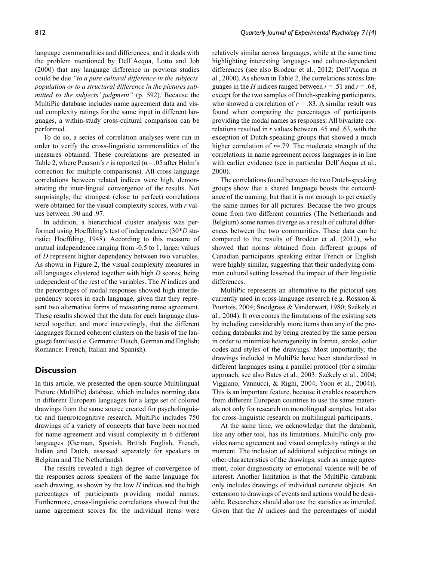language commonalities and differences, and it deals with the problem mentioned by Dell'Acqua, Lotto and Job (2000) that any language difference in previous studies could be due *"to a pure cultural difference in the subjects' population or to a structural difference in the pictures submitted to the subjects' judgment"* (p. 592). Because the MultiPic database includes name agreement data and visual complexity ratings for the same input in different languages, a within-study cross-cultural comparison can be performed.

To do so, a series of correlation analyses were run in order to verify the cross-linguistic commonalities of the measures obtained. These correlations are presented in Table 2, where Pearson's  $r$  is reported ( $\alpha$  = .05 after Holm's correction for multiple comparisons). All cross-language correlations between related indices were high, demonstrating the inter-lingual convergence of the results. Not surprisingly, the strongest (close to perfect) correlations were obtained for the visual complexity scores, with *r* values between .90 and .97.

In addition, a hierarchical cluster analysis was performed using Hoeffding's test of independence (30\**D* statistic; Hoeffding, 1948). According to this measure of mutual independence ranging from -0.5 to 1, larger values of *D* represent higher dependency between two variables. As shown in Figure 2, the visual complexity measures in all languages clustered together with high *D* scores, being independent of the rest of the variables. The *H* indices and the percentages of modal responses showed high interdependency scores in each language, given that they represent two alternative forms of measuring name agreement. These results showed that the data for each language clustered together, and more interestingly, that the different languages formed coherent clusters on the basis of the language families (i.e. Germanic: Dutch, German and English; Romance: French, Italian and Spanish).

# **Discussion**

In this article, we presented the open-source Multilingual Picture (MultiPic) database, which includes norming data in different European languages for a large set of colored drawings from the same source created for psycholinguistic and (neuro)cognitive research. MultiPic includes 750 drawings of a variety of concepts that have been normed for name agreement and visual complexity in 6 different languages (German, Spanish, British English, French, Italian and Dutch, assessed separately for speakers in Belgium and The Netherlands).

The results revealed a high degree of convergence of the responses across speakers of the same language for each drawing, as shown by the low *H* indices and the high percentages of participants providing modal names. Furthermore, cross-linguistic correlations showed that the name agreement scores for the individual items were

relatively similar across languages, while at the same time highlighting interesting language- and culture-dependent differences (see also Brodeur et al., 2012; Dell'Acqua et al., 2000). As shown in Table 2, the correlations across languages in the *H* indices ranged between  $r = .51$  and  $r = .68$ , except for the two samples of Dutch-speaking participants, who showed a correlation of  $r = .83$ . A similar result was found when comparing the percentages of participants providing the modal names as responses: All bivariate correlations resulted in *r* values between .45 and .63, with the exception of Dutch-speaking groups that showed a much higher correlation of  $r=$ .79. The moderate strength of the correlations in name agreement across languages is in line with earlier evidence (see in particular Dell'Acqua et al., 2000).

The correlations found between the two Dutch-speaking groups show that a shared language boosts the concordance of the naming, but that it is not enough to get exactly the same names for all pictures. Because the two groups come from two different countries (The Netherlands and Belgium) some names diverge as a result of cultural differences between the two communities. These data can be compared to the results of Brodeur et al. (2012), who showed that norms obtained from different groups of Canadian participants speaking either French or English were highly similar, suggesting that their underlying common cultural setting lessened the impact of their linguistic differences.

MultiPic represents an alternative to the pictorial sets currently used in cross-language research (e.g. Rossion & Pourtois, 2004; Snodgrass & Vanderwart, 1980; Székely et al., 2004). It overcomes the limitations of the existing sets by including considerably more items than any of the preceding databanks and by being created by the same person in order to minimize heterogeneity in format, stroke, color codes and styles of the drawings. Most importantly, the drawings included in MultiPic have been standardized in different languages using a parallel protocol (for a similar approach, see also Bates et al., 2003; Székely et al., 2004; Viggiano, Vannucci, & Righi, 2004; Yoon et al., 2004)). This is an important feature, because it enables researchers from different European countries to use the same materials not only for research on monolingual samples, but also for cross-linguistic research on multilingual participants.

At the same time, we acknowledge that the databank, like any other tool, has its limitations. MultiPic only provides name agreement and visual complexity ratings at the moment. The inclusion of additional subjective ratings on other characteristics of the drawings, such as image agreement, color diagnosticity or emotional valence will be of interest. Another limitation is that the MultiPic databank only includes drawings of individual concrete objects. An extension to drawings of events and actions would be desirable. Researchers should also use the statistics as intended. Given that the *H* indices and the percentages of modal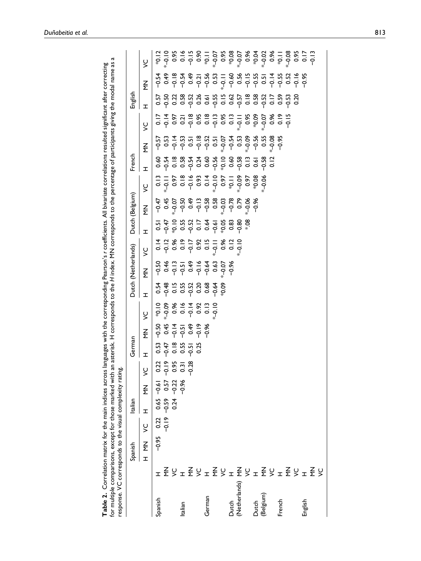| for multiple comparisons, except for those marked with a<br>response. VC corresponds to the visual complexity rating<br>Table 2. Correlation matrix for the main indices across |   |                        |        |                |                                               |                                                    |                                                    |                                                                              |                                                                              |                                                                                                                                                                                                                                                                                                                                   |                                                                                                                                                                                                                                                                                                                       | n asterisk. H corresponds to the H index. MN corresponds to the percentage of participants giving the modal name as<br>anguages with the corresponding Pearson's r coefficients. All bivariate correlations resulted significant after correcting                                            |               |                    |                                                                                                                                                                                                                                                                            |                           |                                                                                                      |                                                                                                                                                                                                                                                             |                                                                                     |                    | 4 |
|---------------------------------------------------------------------------------------------------------------------------------------------------------------------------------|---|------------------------|--------|----------------|-----------------------------------------------|----------------------------------------------------|----------------------------------------------------|------------------------------------------------------------------------------|------------------------------------------------------------------------------|-----------------------------------------------------------------------------------------------------------------------------------------------------------------------------------------------------------------------------------------------------------------------------------------------------------------------------------|-----------------------------------------------------------------------------------------------------------------------------------------------------------------------------------------------------------------------------------------------------------------------------------------------------------------------|----------------------------------------------------------------------------------------------------------------------------------------------------------------------------------------------------------------------------------------------------------------------------------------------|---------------|--------------------|----------------------------------------------------------------------------------------------------------------------------------------------------------------------------------------------------------------------------------------------------------------------------|---------------------------|------------------------------------------------------------------------------------------------------|-------------------------------------------------------------------------------------------------------------------------------------------------------------------------------------------------------------------------------------------------------------|-------------------------------------------------------------------------------------|--------------------|---|
|                                                                                                                                                                                 |   | Spanish                |        | Italian        |                                               |                                                    | German                                             |                                                                              |                                                                              |                                                                                                                                                                                                                                                                                                                                   | Dutch (Netherlands)                                                                                                                                                                                                                                                                                                   |                                                                                                                                                                                                                                                                                              |               | Dutch (Belgium)    |                                                                                                                                                                                                                                                                            | French                    |                                                                                                      |                                                                                                                                                                                                                                                             | English                                                                             |                    |   |
|                                                                                                                                                                                 |   | $\frac{2}{2}$<br>$\pm$ | $\leq$ | I              | $\frac{Z}{\Sigma}$                            | $\leq$                                             | H                                                  | $\frac{Z}{\Sigma}$                                                           | 5                                                                            | ェ                                                                                                                                                                                                                                                                                                                                 | $\frac{Z}{\Sigma}$                                                                                                                                                                                                                                                                                                    | 5                                                                                                                                                                                                                                                                                            | H             | $\frac{Z}{\Sigma}$ | 5                                                                                                                                                                                                                                                                          | H                         | $\frac{Z}{\Sigma}$                                                                                   | 5                                                                                                                                                                                                                                                           | H                                                                                   | $\frac{Z}{\Sigma}$ | 5 |
| Spanish                                                                                                                                                                         | H | $-0.95$                | 0.22   |                | $0.65 - 0.61$                                 |                                                    |                                                    | $-50$                                                                        |                                                                              |                                                                                                                                                                                                                                                                                                                                   |                                                                                                                                                                                                                                                                                                                       |                                                                                                                                                                                                                                                                                              | 0.5           |                    |                                                                                                                                                                                                                                                                            |                           | $-0.57$                                                                                              |                                                                                                                                                                                                                                                             |                                                                                     |                    |   |
|                                                                                                                                                                                 |   |                        |        | $-0.19 - 0.59$ |                                               |                                                    |                                                    |                                                                              | $600^{+*}$                                                                   |                                                                                                                                                                                                                                                                                                                                   |                                                                                                                                                                                                                                                                                                                       |                                                                                                                                                                                                                                                                                              |               |                    |                                                                                                                                                                                                                                                                            |                           |                                                                                                      |                                                                                                                                                                                                                                                             |                                                                                     |                    |   |
|                                                                                                                                                                                 |   |                        |        |                | $-0.59$ 0.57<br>0.24 $-0.22$<br>$-0.24$ -0.96 | $0.22$<br>$-0.19$<br>$-0.31$<br>$-0.38$<br>$-0.28$ | $3,47$<br>$-6,55$<br>$-6,55$<br>$-6,55$<br>$-6,55$ | $0.45$<br>$-0.5$<br>$-0.5$<br>$-0.5$<br>$-0.5$<br>$-0.5$<br>$-0.5$<br>$-0.5$ |                                                                              | $\begin{array}{ccc} 6 & 6 & 6 & 6 \\ 1 & 6 & 6 & 6 \\ 1 & 6 & 6 & 6 \\ 1 & 1 & 1 & 1 \\ 1 & 1 & 1 & 1 \\ 1 & 1 & 1 & 1 \\ 1 & 1 & 1 & 1 \\ 1 & 1 & 1 & 1 \\ 1 & 1 & 1 & 1 \\ 1 & 1 & 1 & 1 \\ 1 & 1 & 1 & 1 \\ 1 & 1 & 1 & 1 \\ 1 & 1 & 1 & 1 \\ 1 & 1 & 1 & 1 \\ 1 & 1 & 1 & 1 \\ 1 & 1 & 1 & 1 \\ 1 & 1 & 1 & 1 & 1 \\ 1 & 1 &$ | $9.4$ $\frac{3}{2}$ $\frac{3}{2}$ $\frac{3}{2}$ $\frac{3}{2}$ $\frac{3}{2}$ $\frac{3}{2}$ $\frac{3}{2}$ $\frac{3}{2}$ $\frac{3}{2}$ $\frac{3}{2}$ $\frac{3}{2}$ $\frac{3}{2}$ $\frac{3}{2}$ $\frac{3}{2}$ $\frac{3}{2}$ $\frac{3}{2}$ $\frac{3}{2}$ $\frac{3}{2}$ $\frac{3}{2}$ $\frac{3}{2}$ $\frac{3}{2}$ $\frac{3$ | $1280$<br>$-60$<br>$-60$<br>$-60$<br>$-60$<br>$-60$<br>$-60$<br>$-60$<br>$-60$<br>$-60$<br>$-60$<br>$-60$<br>$-60$<br>$-60$<br>$-60$<br>$-60$<br>$-60$<br>$-60$<br>$-60$<br>$-60$<br>$-60$<br>$-60$<br>$-60$<br>$-60$<br>$-60$<br>$-60$<br>$-60$<br>$-60$<br>$-60$<br>$-60$<br>$-60$<br>$-6$ |               |                    | $\begin{array}{l} 25.8 & 26.8 & 27.8 & 28.8 & 27.8 & 27.8 & 28.8 & 29.8 & 29.8 & 29.8 & 29.8 & 29.8 & 29.8 & 29.8 & 29.8 & 29.8 & 29.8 & 29.8 & 29.8 & 29.8 & 29.8 & 29.8 & 29.8 & 29.8 & 29.8 & 29.8 & 29.8 & 29.8 & 29.8 & 29.8 & 29.8 & 29.8 & 29.8 & 29.8 & 29.8 & 29$ | ٯ؋ۊ؉ڋ؆ۊ؉ۊۄۊ<br>ۄ؋ۊ؊؋؋؋؋؋؋ | $33.4737$<br>$35.4737$<br>$35.4737$<br>$35.4737$<br>$35.4737$<br>$35.4737$<br>$35.4737$<br>$35.4737$ | $25 + 25 = 5$<br>$25 + 25 = 5$<br>$25 + 25 = 5$<br>$25 + 25 = 5$<br>$25 + 25 = 5$<br>$25 + 25 = 5$<br>$25 + 25 = 5$<br>$25 + 25 = 5$<br>$25 + 25 = 5$<br>$25 + 25 = 5$<br>$25 + 25 = 5$<br>$25 + 25 = 5$<br>$25 + 25 = 5$<br>$25 + 25 = 5$<br>$25 + 25 = 5$ | 5<br>5 5 6 7 8 9 7 9 7 9 7 9 7 9 7 9 7 9 7 9 7<br>5 9 7 9 9 9 9 9 9 9 9 9 9 9 9 9 9 |                    |   |
| Italian                                                                                                                                                                         |   |                        |        |                |                                               |                                                    |                                                    |                                                                              |                                                                              |                                                                                                                                                                                                                                                                                                                                   |                                                                                                                                                                                                                                                                                                                       |                                                                                                                                                                                                                                                                                              |               |                    |                                                                                                                                                                                                                                                                            |                           |                                                                                                      |                                                                                                                                                                                                                                                             |                                                                                     |                    |   |
|                                                                                                                                                                                 |   |                        |        |                |                                               |                                                    |                                                    |                                                                              |                                                                              |                                                                                                                                                                                                                                                                                                                                   |                                                                                                                                                                                                                                                                                                                       |                                                                                                                                                                                                                                                                                              |               |                    |                                                                                                                                                                                                                                                                            |                           |                                                                                                      |                                                                                                                                                                                                                                                             |                                                                                     |                    |   |
|                                                                                                                                                                                 |   |                        |        |                |                                               |                                                    |                                                    |                                                                              | $0.96$<br>$0.94$<br>$0.92$<br>$0.92$<br>$0.96$<br>$0.96$<br>$0.96$<br>$0.96$ |                                                                                                                                                                                                                                                                                                                                   |                                                                                                                                                                                                                                                                                                                       |                                                                                                                                                                                                                                                                                              |               |                    |                                                                                                                                                                                                                                                                            |                           |                                                                                                      |                                                                                                                                                                                                                                                             |                                                                                     |                    |   |
| German                                                                                                                                                                          |   |                        |        |                |                                               |                                                    |                                                    | $-0.96$                                                                      |                                                                              |                                                                                                                                                                                                                                                                                                                                   |                                                                                                                                                                                                                                                                                                                       |                                                                                                                                                                                                                                                                                              |               |                    |                                                                                                                                                                                                                                                                            |                           |                                                                                                      |                                                                                                                                                                                                                                                             |                                                                                     |                    |   |
|                                                                                                                                                                                 |   |                        |        |                |                                               |                                                    |                                                    |                                                                              |                                                                              |                                                                                                                                                                                                                                                                                                                                   |                                                                                                                                                                                                                                                                                                                       |                                                                                                                                                                                                                                                                                              |               |                    |                                                                                                                                                                                                                                                                            |                           |                                                                                                      |                                                                                                                                                                                                                                                             |                                                                                     |                    |   |
|                                                                                                                                                                                 |   |                        |        |                |                                               |                                                    |                                                    |                                                                              |                                                                              |                                                                                                                                                                                                                                                                                                                                   |                                                                                                                                                                                                                                                                                                                       |                                                                                                                                                                                                                                                                                              |               |                    |                                                                                                                                                                                                                                                                            |                           |                                                                                                      |                                                                                                                                                                                                                                                             |                                                                                     |                    |   |
| Dutch<br>(Netherlands)                                                                                                                                                          |   |                        |        |                |                                               |                                                    |                                                    |                                                                              |                                                                              |                                                                                                                                                                                                                                                                                                                                   | $-0.96$                                                                                                                                                                                                                                                                                                               | $\frac{0.12}{9.10}$                                                                                                                                                                                                                                                                          |               |                    |                                                                                                                                                                                                                                                                            |                           |                                                                                                      |                                                                                                                                                                                                                                                             |                                                                                     |                    |   |
|                                                                                                                                                                                 |   |                        |        |                |                                               |                                                    |                                                    |                                                                              |                                                                              |                                                                                                                                                                                                                                                                                                                                   |                                                                                                                                                                                                                                                                                                                       |                                                                                                                                                                                                                                                                                              | $-0.80$       | 0.79               |                                                                                                                                                                                                                                                                            |                           |                                                                                                      |                                                                                                                                                                                                                                                             |                                                                                     |                    |   |
|                                                                                                                                                                                 |   |                        |        |                |                                               |                                                    |                                                    |                                                                              |                                                                              |                                                                                                                                                                                                                                                                                                                                   |                                                                                                                                                                                                                                                                                                                       |                                                                                                                                                                                                                                                                                              | $\frac{8}{2}$ | $*_{-0.06}$        |                                                                                                                                                                                                                                                                            |                           |                                                                                                      |                                                                                                                                                                                                                                                             |                                                                                     |                    |   |
| Dutch                                                                                                                                                                           |   |                        |        |                |                                               |                                                    |                                                    |                                                                              |                                                                              |                                                                                                                                                                                                                                                                                                                                   |                                                                                                                                                                                                                                                                                                                       |                                                                                                                                                                                                                                                                                              |               | $-0.96$            |                                                                                                                                                                                                                                                                            | 0.61                      | $-0.56$                                                                                              |                                                                                                                                                                                                                                                             |                                                                                     |                    |   |
| (Belgium)                                                                                                                                                                       |   |                        |        |                |                                               |                                                    |                                                    |                                                                              |                                                                              |                                                                                                                                                                                                                                                                                                                                   |                                                                                                                                                                                                                                                                                                                       |                                                                                                                                                                                                                                                                                              |               |                    | $-0.06$                                                                                                                                                                                                                                                                    | $-0.58$                   | 0.55                                                                                                 |                                                                                                                                                                                                                                                             |                                                                                     |                    |   |
|                                                                                                                                                                                 |   |                        |        |                |                                               |                                                    |                                                    |                                                                              |                                                                              |                                                                                                                                                                                                                                                                                                                                   |                                                                                                                                                                                                                                                                                                                       |                                                                                                                                                                                                                                                                                              |               |                    |                                                                                                                                                                                                                                                                            | $\frac{2}{5}$             | $-0.08$                                                                                              |                                                                                                                                                                                                                                                             |                                                                                     |                    |   |
| French                                                                                                                                                                          |   |                        |        |                |                                               |                                                    |                                                    |                                                                              |                                                                              |                                                                                                                                                                                                                                                                                                                                   |                                                                                                                                                                                                                                                                                                                       |                                                                                                                                                                                                                                                                                              |               |                    |                                                                                                                                                                                                                                                                            |                           | $-0.95$                                                                                              | $* -0.07$<br>0.96<br>0.15<br>-0.15                                                                                                                                                                                                                          |                                                                                     |                    |   |
|                                                                                                                                                                                 |   |                        |        |                |                                               |                                                    |                                                    |                                                                              |                                                                              |                                                                                                                                                                                                                                                                                                                                   |                                                                                                                                                                                                                                                                                                                       |                                                                                                                                                                                                                                                                                              |               |                    |                                                                                                                                                                                                                                                                            |                           |                                                                                                      |                                                                                                                                                                                                                                                             |                                                                                     |                    |   |
|                                                                                                                                                                                 |   |                        |        |                |                                               |                                                    |                                                    |                                                                              |                                                                              |                                                                                                                                                                                                                                                                                                                                   |                                                                                                                                                                                                                                                                                                                       |                                                                                                                                                                                                                                                                                              |               |                    |                                                                                                                                                                                                                                                                            |                           |                                                                                                      |                                                                                                                                                                                                                                                             | 0.20                                                                                |                    |   |
| English                                                                                                                                                                         |   |                        |        |                |                                               |                                                    |                                                    |                                                                              |                                                                              |                                                                                                                                                                                                                                                                                                                                   |                                                                                                                                                                                                                                                                                                                       |                                                                                                                                                                                                                                                                                              |               |                    |                                                                                                                                                                                                                                                                            |                           |                                                                                                      |                                                                                                                                                                                                                                                             |                                                                                     |                    |   |
|                                                                                                                                                                                 |   |                        |        |                |                                               |                                                    |                                                    |                                                                              |                                                                              |                                                                                                                                                                                                                                                                                                                                   |                                                                                                                                                                                                                                                                                                                       |                                                                                                                                                                                                                                                                                              |               |                    |                                                                                                                                                                                                                                                                            |                           |                                                                                                      |                                                                                                                                                                                                                                                             |                                                                                     |                    |   |
|                                                                                                                                                                                 |   |                        |        |                |                                               |                                                    |                                                    |                                                                              |                                                                              |                                                                                                                                                                                                                                                                                                                                   |                                                                                                                                                                                                                                                                                                                       |                                                                                                                                                                                                                                                                                              |               |                    |                                                                                                                                                                                                                                                                            |                           |                                                                                                      |                                                                                                                                                                                                                                                             |                                                                                     |                    |   |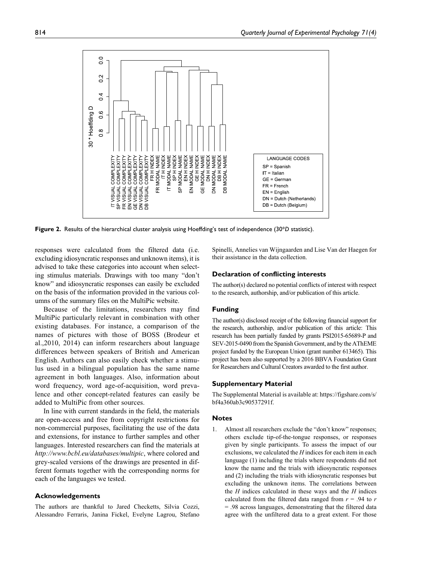

**Figure 2.** Results of the hierarchical cluster analysis using Hoeffding's test of independence (30\**D* statistic).

responses were calculated from the filtered data (i.e. excluding idiosyncratic responses and unknown items), it is advised to take these categories into account when selecting stimulus materials. Drawings with too many "don't know" and idiosyncratic responses can easily be excluded on the basis of the information provided in the various columns of the summary files on the MultiPic website.

Because of the limitations, researchers may find MultiPic particularly relevant in combination with other existing databases. For instance, a comparison of the names of pictures with those of BOSS (Brodeur et al.,2010, 2014) can inform researchers about language differences between speakers of British and American English. Authors can also easily check whether a stimulus used in a bilingual population has the same name agreement in both languages. Also, information about word frequency, word age-of-acquisition, word prevalence and other concept-related features can easily be added to MultiPic from other sources.

In line with current standards in the field, the materials are open-access and free from copyright restrictions for non-commercial purposes, facilitating the use of the data and extensions, for instance to further samples and other languages. Interested researchers can find the materials at *<http://www.bcbl.eu/databases/multipic>*, where colored and grey-scaled versions of the drawings are presented in different formats together with the corresponding norms for each of the languages we tested.

#### **Acknowledgements**

The authors are thankful to Jared Checketts, Silvia Cozzi, Alessandro Ferraris, Janina Fickel, Evelyne Lagrou, Stefano Spinelli, Annelies van Wijngaarden and Lise Van der Haegen for their assistance in the data collection.

#### **Declaration of conflicting interests**

The author(s) declared no potential conflicts of interest with respect to the research, authorship, and/or publication of this article.

#### **Funding**

The author(s) disclosed receipt of the following financial support for the research, authorship, and/or publication of this article: This research has been partially funded by grants PSI2015-65689-P and SEV-2015-0490 from the Spanish Government, and by the AThEME project funded by the European Union (grant number 613465). This project has been also supported by a 2016 BBVA Foundation Grant for Researchers and Cultural Creators awarded to the first author.

#### **Supplementary Material**

The Supplemental Material is available at: [https://figshare.com/s/](https://figshare.com/s/bf4a360ab3c90537291f) [bf4a360ab3c90537291f.](https://figshare.com/s/bf4a360ab3c90537291f)

#### **Notes**

1. Almost all researchers exclude the "don't know" responses; others exclude tip-of-the-tongue responses, or responses given by single participants. To assess the impact of our exclusions, we calculated the *H* indices for each item in each language (1) including the trials where respondents did not know the name and the trials with idiosyncratic responses and (2) including the trials with idiosyncratic responses but excluding the unknown items. The correlations between the *H* indices calculated in these ways and the *H* indices calculated from the filtered data ranged from  $r = .94$  to  $r = .94$ = .98 across languages, demonstrating that the filtered data agree with the unfiltered data to a great extent. For those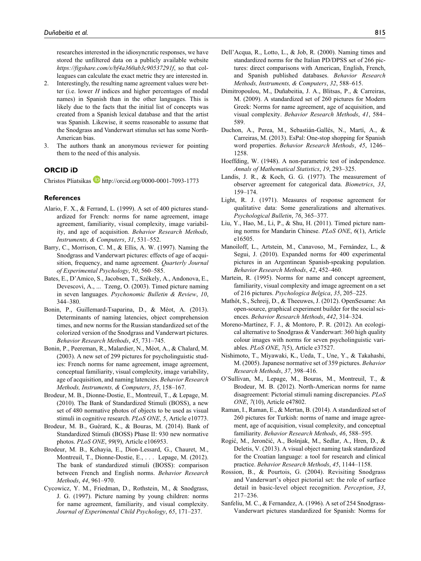researches interested in the idiosyncratic responses, we have stored the unfiltered data on a publicly available website *<https://figshare.com/s/bf4a360ab3c90537291f>*, so that colleagues can calculate the exact metric they are interested in.

- 2. Interestingly, the resulting name agreement values were better (i.e. lower *H* indices and higher percentages of modal names) in Spanish than in the other languages. This is likely due to the facts that the initial list of concepts was created from a Spanish lexical database and that the artist was Spanish. Likewise, it seems reasonable to assume that the Snodgrass and Vanderwart stimulus set has some North-American bias.
- 3. The authors thank an anonymous reviewer for pointing them to the need of this analysis.

# **ORCID iD**

Christos Pliatsikas <http://orcid.org/0000-0001-7093-1773>

### **References**

- Alario, F. X., & Ferrand, L. (1999). A set of 400 pictures standardized for French: norms for name agreement, image agreement, familiarity, visual complexity, image variability, and age of acquisition. *Behavior Research Methods, Instruments, & Computers*, *31*, 531–552.
- Barry, C., Morrison, C. M., & Ellis, A. W. (1997). Naming the Snodgrass and Vanderwart pictures: effects of age of acquisition, frequency, and name agreement. *Quarterly Journal of Experimental Psychology*, *50*, 560–585.
- Bates, E., D'Amico, S., Jacobsen, T., Székely, A., Andonova, E., Devescovi, A., ... Tzeng, O. (2003). Timed picture naming in seven languages. *Psychonomic Bulletin & Review*, *10*, 344–380.
- Bonin, P., Guillemard-Tsaparina, D., & Méot, A. (2013). Determinants of naming latencies, object comprehension times, and new norms for the Russian standardized set of the colorized version of the Snodgrass and Vanderwart pictures. *Behavior Research Methods*, *45*, 731–745.
- Bonin, P., Peereman, R., Malardier, N., Méot, A., & Chalard, M. (2003). A new set of 299 pictures for psycholinguistic studies: French norms for name agreement, image agreement, conceptual familiarity, visual complexity, image variability, age of acquisition, and naming latencies. *Behavior Research Methods, Instruments, & Computers*, *35*, 158–167.
- Brodeur, M. B., Dionne-Dostie, E., Montreuil, T., & Lepage, M. (2010). The Bank of Standardized Stimuli (BOSS), a new set of 480 normative photos of objects to be used as visual stimuli in cognitive research. *PLoS ONE*, *5*, Article e10773.
- Brodeur, M. B., Guérard, K., & Bouras, M. (2014). Bank of Standardized Stimuli (BOSS) Phase II: 930 new normative photos. *PLoS ONE*, *99*(9), Article e106953.
- Brodeur, M. B., Kehayia, E., Dion-Lessard, G., Chauret, M., Montreuil, T., Dionne-Dostie, E., . . . Lepage, M. (2012). The bank of standardized stimuli (BOSS): comparison between French and English norms. *Behavior Research Methods*, *44*, 961–970.
- Cycowicz, Y. M., Friedman, D., Rothstein, M., & Snodgrass, J. G. (1997). Picture naming by young children: norms for name agreement, familiarity, and visual complexity. *Journal of Experimental Child Psychology*, *65*, 171–237.
- Dell'Acqua, R., Lotto, L., & Job, R. (2000). Naming times and standardized norms for the Italian PD/DPSS set of 266 pictures: direct comparisons with American, English, French, and Spanish published databases. *Behavior Research Methods, Instruments, & Computers*, *32*, 588–615.
- Dimitropoulou, M., Duñabeitia, J. A., Blitsas, P., & Carreiras, M. (2009). A standardized set of 260 pictures for Modern Greek: Norms for name agreement, age of acquisition, and visual complexity. *Behavior Research Methods*, *41*, 584– 589.
- Duchon, A., Perea, M., Sebastián-Gallés, N., Martí, A., & Carreiras, M. (2013). EsPal: One-stop shopping for Spanish word properties. *Behavior Research Methods*, *45*, 1246– 1258.
- Hoeffding, W. (1948). A non-parametric test of independence. *Annals of Mathematical Statistics*, *19*, 293–325.
- Landis, J. R., & Koch, G. G. (1977). The measurement of observer agreement for categorical data. *Biometrics*, *33*, 159–174.
- Light, R. J. (1971). Measures of response agreement for qualitative data: Some generalizations and alternatives. *Psychological Bulletin*, *76*, 365–377.
- Liu, Y., Hao, M., Li, P., & Shu, H. (2011). Timed picture naming norms for Mandarin Chinese. *PLoS ONE*, *6*(1), Article e16505.
- Manoiloff, L., Artstein, M., Canavoso, M., Fernández, L., & Segui, J. (2010). Expanded norms for 400 experimental pictures in an Argentinean Spanish-speaking population. *Behavior Research Methods*, *42*, 452–460.
- Martein, R. (1995). Norms for name and concept agreement, familiarity, visual complexity and image agreement on a set of 216 pictures. *Psychologica Belgica*, *35*, 205–225.
- Mathôt, S., Schreij, D., & Theeuwes, J. (2012). OpenSesame: An open-source, graphical experiment builder for the social sciences. *Behavior Research Methods*, *442*, 314–324.
- Moreno-Martínez, F. J., & Montoro, P. R. (2012). An ecological alternative to Snodgrass & Vanderwart: 360 high quality colour images with norms for seven psycholinguistic variables. *PLoS ONE*, *7*(5), Article e37527.
- Nishimoto, T., Miyawaki, K., Ueda, T., Une, Y., & Takahashi, M. (2005). Japanese normative set of 359 pictures. *Behavior Research Methods*, *37*, 398–416.
- O'Sullivan, M., Lepage, M., Bouras, M., Montreuil, T., & Brodeur, M. B. (2012). North-American norms for name disagreement: Pictorial stimuli naming discrepancies. *PLoS ONE*, *7*(10), Article e47802.
- Raman, I., Raman, E., & Mertan, B. (2014). A standardized set of 260 pictures for Turkish: norms of name and image agreement, age of acquisition, visual complexity, and conceptual familiarity. *Behavior Research Methods*, *46*, 588–595.
- Rogić, M., Jerončić, A., Bošnjak, M., Sedlar, A., Hren, D., & Deletis, V. (2013). A visual object naming task standardized for the Croatian language: a tool for research and clinical practice. *Behavior Research Methods*, *45*, 1144–1158.
- Rossion, B., & Pourtois, G. (2004). Revisiting Snodgrass and Vanderwart's object pictorial set: the role of surface detail in basic-level object recognition. *Perception*, *33*, 217–236.
- Sanfeliu, M. C., & Fernandez, A. (1996). A set of 254 Snodgrass-Vanderwart pictures standardized for Spanish: Norms for